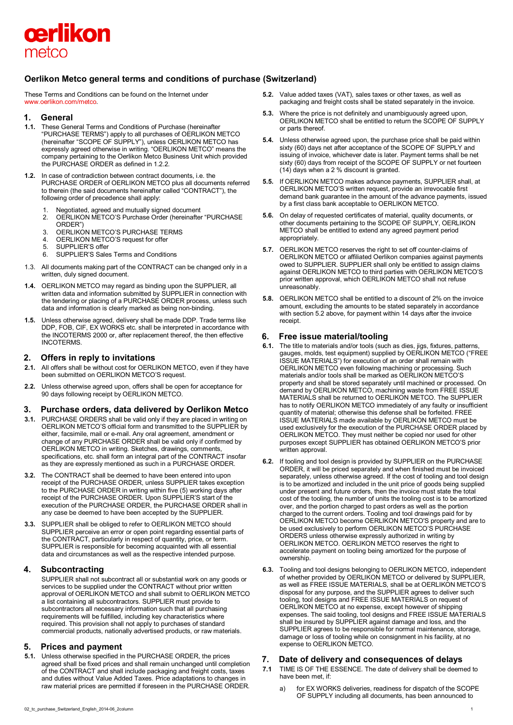

# **Oerlikon Metco general terms and conditions of purchase (Switzerland)**

These Terms and Conditions can be found on the Internet under [www.oerlikon.com/metco.](http://www.oerlikon.com/metco)

## **1. General**

- **1.1.** These General Terms and Conditions of Purchase (hereinafter "PURCHASE TERMS") apply to all purchases of OERLIKON METCO (hereinafter "SCOPE OF SUPPLY"), unless OERLIKON METCO has expressly agreed otherwise in writing. "OERLIKON METCO" means the company pertaining to the Oerlikon Metco Business Unit which provided the PURCHASE ORDER as defined in 1.2.2.
- **1.2.** In case of contradiction between contract documents, i.e. the PURCHASE ORDER of OERLIKON METCO plus all documents referred to therein (the said documents hereinafter called "CONTRACT"), the following order of precedence shall apply:
	-
	- 1. Negotiated, agreed and mutually signed document<br>2. OERLIKON METCO'S Purchase Order (hereinafter 2. OERLIKON METCO'S Purchase Order (hereinafter "PURCHASE ORDER")
	- 3. OERLIKON METCO'S PURCHASE TERMS
	- 4. OERLIKON METCO'S request for offer<br>5. SUPPLIER'S offer
	- SUPPLIER'S offer
	- 6. SUPPLIER'S Sales Terms and Conditions
- 1.3. All documents making part of the CONTRACT can be changed only in a written, duly signed document.
- **1.4.** OERLIKON METCO may regard as binding upon the SUPPLIER, all written data and information submitted by SUPPLIER in connection with the tendering or placing of a PURCHASE ORDER process, unless such data and information is clearly marked as being non-binding.
- **1.5.** Unless otherwise agreed, delivery shall be made DDP. Trade terms like DDP, FOB, CIF, EX WORKS etc. shall be interpreted in accordance with the INCOTERMS 2000 or, after replacement thereof, the then effective INCOTERMS.

## **2. Offers in reply to invitations**

- **2.1.** All offers shall be without cost for OERLIKON METCO, even if they have been submitted on OERLIKON METCO'S request.
- **2.2.** Unless otherwise agreed upon, offers shall be open for acceptance for 90 days following receipt by OERLIKON METCO.

## **3. Purchase orders, data delivered by Oerlikon Metco**

- **3.1.** PURCHASE ORDERS shall be valid only if they are placed in writing on OERLIKON METCO'S official form and transmitted to the SUPPLIER by either, facsimile, mail or e-mail. Any oral agreement, amendment or change of any PURCHASE ORDER shall be valid only if confirmed by OERLIKON METCO in writing. Sketches, drawings, comments, specifications, etc. shall form an integral part of the CONTRACT insofar as they are expressly mentioned as such in a PURCHASE ORDER.
- **3.2.** The CONTRACT shall be deemed to have been entered into upon receipt of the PURCHASE ORDER, unless SUPPLIER takes exception to the PURCHASE ORDER in writing within five (5) working days after receipt of the PURCHASE ORDER. Upon SUPPLIER'S start of the execution of the PURCHASE ORDER, the PURCHASE ORDER shall in any case be deemed to have been accepted by the SUPPLIER.
- **3.3.** SUPPLIER shall be obliged to refer to OERLIKON METCO should SUPPLIER perceive an error or open point regarding essential parts of the CONTRACT, particularly in respect of quantity, price, or term. SUPPLIER is responsible for becoming acquainted with all essential data and circumstances as well as the respective intended purpose.

## **4. Subcontracting**

SUPPLIER shall not subcontract all or substantial work on any goods or services to be supplied under the CONTRACT without prior written approval of OERLIKON METCO and shall submit to OERLIKON METCO a list containing all subcontractors. SUPPLIER must provide to subcontractors all necessary information such that all purchasing requirements will be fulfilled, including key characteristics where required. This provision shall not apply to purchases of standard commercial products, nationally advertised products, or raw materials.

# **5. Prices and payment**

**5.1.** Unless otherwise specified in the PURCHASE ORDER, the prices agreed shall be fixed prices and shall remain unchanged until completion of the CONTRACT and shall include packaging and freight costs, taxes and duties without Value Added Taxes. Price adaptations to changes in raw material prices are permitted if foreseen in the PURCHASE ORDER.

- **5.2.** Value added taxes (VAT), sales taxes or other taxes, as well as packaging and freight costs shall be stated separately in the invoice.
- **5.3.** Where the price is not definitely and unambiguously agreed upon, OERLIKON METCO shall be entitled to return the SCOPE OF SUPPLY or parts thereof.
- **5.4.** Unless otherwise agreed upon, the purchase price shall be paid within sixty (60) days net after acceptance of the SCOPE OF SUPPLY and issuing of invoice, whichever date is later. Payment terms shall be net sixty (60) days from receipt of the SCOPE OF SUPPLY or net fourteen (14) days when a 2 % discount is granted.
- **5.5.** If OERLIKON METCO makes advance payments, SUPPLIER shall, at OERLIKON METCO'S written request, provide an irrevocable first demand bank guarantee in the amount of the advance payments, issued by a first class bank acceptable to OERLIKON METCO.
- **5.6.** On delay of requested certificates of material, quality documents, or other documents pertaining to the SCOPE OF SUPPLY, OERLIKON METCO shall be entitled to extend any agreed payment period appropriately.
- **5.7.** OERLIKON METCO reserves the right to set off counter-claims of OERLIKON METCO or affiliated Oerlikon companies against payments owed to SUPPLIER. SUPPLIER shall only be entitled to assign claims against OERLIKON METCO to third parties with OERLIKON METCO'S prior written approval, which OERLIKON METCO shall not refuse unreasonably.
- **5.8.** OERLIKON METCO shall be entitled to a discount of 2% on the invoice amount, excluding the amounts to be stated separately in accordance with section 5.2 above, for payment within 14 days after the invoice receipt.

## **6. Free issue material/tooling**

- **6.1.** The title to materials and/or tools (such as dies, jigs, fixtures, patterns, gauges, molds, test equipment) supplied by OERLIKON METCO ("FREE ISSUE MATERIALS") for execution of an order shall remain with OERLIKON METCO even following machining or processing. Such materials and/or tools shall be marked as OERLIKON METCO'S property and shall be stored separately until machined or processed. On demand by OERLIKON METCO, machining waste from FREE ISSUE MATERIALS shall be returned to OERLIKON METCO. The SUPPLIER has to notify OERLIKON METCO immediately of any faulty or insufficient quantity of material; otherwise this defense shall be forfeited. FREE ISSUE MATERIALS made available by OERLIKON METCO must be used exclusively for the execution of the PURCHASE ORDER placed by OERLIKON METCO. They must neither be copied nor used for other purposes except SUPPLIER has obtained OERLIKON METCO'S prior written approval.
- **6.2.** If tooling and tool design is provided by SUPPLIER on the PURCHASE ORDER, it will be priced separately and when finished must be invoiced separately, unless otherwise agreed. If the cost of tooling and tool design is to be amortized and included in the unit price of goods being supplied under present and future orders, then the invoice must state the total cost of the tooling, the number of units the tooling cost is to be amortized over, and the portion charged to past orders as well as the portion charged to the current orders. Tooling and tool drawings paid for by OERLIKON METCO become OERLIKON METCO'S property and are to be used exclusively to perform OERLIKON METCO'S PURCHASE ORDERS unless otherwise expressly authorized in writing by OERLIKON METCO. OERLIKON METCO reserves the right to accelerate payment on tooling being amortized for the purpose of ownership.
- **6.3.** Tooling and tool designs belonging to OERLIKON METCO, independent of whether provided by OERLIKON METCO or delivered by SUPPLIER, as well as FREE ISSUE MATERIALS, shall be at OERLIKON METCO'S disposal for any purpose, and the SUPPLIER agrees to deliver such tooling, tool designs and FREE ISSUE MATERIALS on request of OERLIKON METCO at no expense, except however of shipping expenses. The said tooling, tool designs and FREE ISSUE MATERIALS shall be insured by SUPPLIER against damage and loss, and the SUPPLIER agrees to be responsible for normal maintenance, storage, damage or loss of tooling while on consignment in his facility, at no expense to OERLIKON METCO.

# **7. Date of delivery and consequences of delays**

- **7.1** TIME IS OF THE ESSENCE. The date of delivery shall be deemed to have been met, if:
	- a) for EX WORKS deliveries, readiness for dispatch of the SCOPE OF SUPPLY including all documents, has been announced to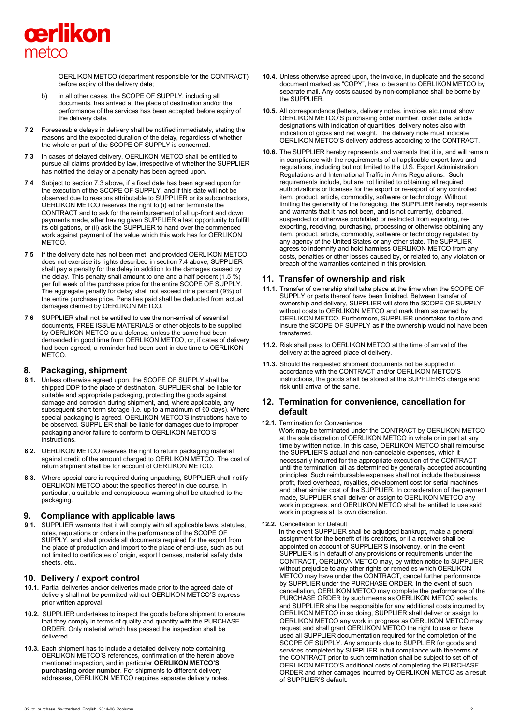

OERLIKON METCO (department responsible for the CONTRACT) before expiry of the delivery date;

- b) in all other cases, the SCOPE OF SUPPLY, including all documents, has arrived at the place of destination and/or the performance of the services has been accepted before expiry of the delivery date.
- **7.2** Foreseeable delays in delivery shall be notified immediately, stating the reasons and the expected duration of the delay, regardless of whether the whole or part of the SCOPE OF SUPPLY is concerned.
- **7.3** In cases of delayed delivery, OERLIKON METCO shall be entitled to pursue all claims provided by law, irrespective of whether the SUPPLIER has notified the delay or a penalty has been agreed upon.
- **7.4** Subject to section 7.3 above, if a fixed date has been agreed upon for the execution of the SCOPE OF SUPPLY, and if this date will not be observed due to reasons attributable to SUPPLIER or its subcontractors, OERLIKON METCO reserves the right to (i) either terminate the CONTRACT and to ask for the reimbursement of all up-front and down payments made, after having given SUPPLIER a last opportunity to fulfill its obligations, or (ii) ask the SUPPLIER to hand over the commenced work against payment of the value which this work has for OERLIKON METCO
- **7.5** If the delivery date has not been met, and provided OERLIKON METCO does not exercise its rights described in section 7.4 above, SUPPLIER shall pay a penalty for the delay in addition to the damages caused by the delay. This penalty shall amount to one and a half percent (1.5 %) per full week of the purchase price for the entire SCOPE OF SUPPLY. The aggregate penalty for delay shall not exceed nine percent (9%) of the entire purchase price. Penalties paid shall be deducted from actual damages claimed by OERLIKON METCO.
- **7.6** SUPPLIER shall not be entitled to use the non-arrival of essential documents, FREE ISSUE MATERIALS or other objects to be supplied by OERLIKON METCO as a defense, unless the same had been demanded in good time from OERLIKON METCO, or, if dates of delivery had been agreed, a reminder had been sent in due time to OERLIKON METCO.

## **8. Packaging, shipment**

- **8.1.** Unless otherwise agreed upon, the SCOPE OF SUPPLY shall be shipped DDP to the place of destination. SUPPLIER shall be liable for suitable and appropriate packaging, protecting the goods against damage and corrosion during shipment, and, where applicable, any subsequent short term storage (i.e. up to a maximum of 60 days). Where special packaging is agreed, OERLIKON METCO'S instructions have to be observed. SUPPLIER shall be liable for damages due to improper packaging and/or failure to conform to OERLIKON METCO'S instructions.
- **8.2.** OERLIKON METCO reserves the right to return packaging material against credit of the amount charged to OERLIKON METCO. The cost of return shipment shall be for account of OERLIKON METCO.
- **8.3.** Where special care is required during unpacking, SUPPLIER shall notify OERLIKON METCO about the specifics thereof in due course. In particular, a suitable and conspicuous warning shall be attached to the packaging.

## **9. Compliance with applicable laws**

**9.1.** SUPPLIER warrants that it will comply with all applicable laws, statutes, rules, regulations or orders in the performance of the SCOPE OF SUPPLY, and shall provide all documents required for the export from the place of production and import to the place of end-use, such as but not limited to certificates of origin, export licenses, material safety data sheets, etc..

# **10. Delivery / export control**

- **10.1.** Partial deliveries and/or deliveries made prior to the agreed date of delivery shall not be permitted without OERLIKON METCO'S express prior written approval.
- **10.2.** SUPPLIER undertakes to inspect the goods before shipment to ensure that they comply in terms of quality and quantity with the PURCHASE ORDER. Only material which has passed the inspection shall be delivered.
- **10.3.** Each shipment has to include a detailed delivery note containing OERLIKON METCO'S references, confirmation of the herein above mentioned inspection, and in particular **OERLIKON METCO'S purchasing order number**. For shipments to different delivery addresses, OERLIKON METCO requires separate delivery notes.
- **10.4.** Unless otherwise agreed upon, the invoice, in duplicate and the second document marked as "COPY", has to be sent to OERLIKON METCO by separate mail. Any costs caused by non-compliance shall be borne by the SUPPLIER.
- **10.5.** All correspondence (letters, delivery notes, invoices etc.) must show OERLIKON METCO'S purchasing order number, order date, article designations with indication of quantities, delivery notes also with indication of gross and net weight. The delivery note must indicate OERLIKON METCO'S delivery address according to the CONTRACT.
- **10.6.** The SUPPLIER hereby represents and warrants that it is, and will remain in compliance with the requirements of all applicable export laws and regulations, including but not limited to the U.S. Export Administration Regulations and International Traffic in Arms Regulations. Such requirements include, but are not limited to obtaining all required authorizations or licenses for the export or re-export of any controlled item, product, article, commodity, software or technology. Without limiting the generality of the foregoing, the SUPPLIER hereby represents and warrants that it has not been, and is not currently, debarred, suspended or otherwise prohibited or restricted from exporting, reexporting, receiving, purchasing, processing or otherwise obtaining any item, product, article, commodity, software or technology regulated by any agency of the United States or any other state. The SUPPLIER agrees to indemnify and hold harmless OERLIKON METCO from any costs, penalties or other losses caused by, or related to, any violation or breach of the warranties contained in this provision.

## **11. Transfer of ownership and risk**

- **11.1.** Transfer of ownership shall take place at the time when the SCOPE OF SUPPLY or parts thereof have been finished. Between transfer of ownership and delivery, SUPPLIER will store the SCOPE OF SUPPLY without costs to OERLIKON METCO and mark them as owned by OERLIKON METCO. Furthermore, SUPPLIER undertakes to store and insure the SCOPE OF SUPPLY as if the ownership would not have been transferred.
- **11.2.** Risk shall pass to OERLIKON METCO at the time of arrival of the delivery at the agreed place of delivery.
- **11.3.** Should the requested shipment documents not be supplied in accordance with the CONTRACT and/or OERLIKON METCO'S instructions, the goods shall be stored at the SUPPLIER'S charge and risk until arrival of the same.

# **12. Termination for convenience, cancellation for default**

#### **12.1.** Termination for Convenience

Work may be terminated under the CONTRACT by OERLIKON METCO at the sole discretion of OERLIKON METCO in whole or in part at any time by written notice. In this case, OERLIKON METCO shall reimburse the SUPPLIER'S actual and non-cancelable expenses, which it necessarily incurred for the appropriate execution of the CONTRACT until the termination, all as determined by generally accepted accounting principles. Such reimbursable expenses shall not include the business profit, fixed overhead, royalties, development cost for serial machines and other similar cost of the SUPPLIER. In consideration of the payment made, SUPPLIER shall deliver or assign to OERLIKON METCO any work in progress, and OERLIKON METCO shall be entitled to use said work in progress at its own discretion.

**12.2.** Cancellation for Default

In the event SUPPLIER shall be adjudged bankrupt, make a general assignment for the benefit of its creditors, or if a receiver shall be appointed on account of SUPPLIER'S insolvency, or in the event SUPPLIER is in default of any provisions or requirements under the CONTRACT, OERLIKON METCO may, by written notice to SUPPLIER, without prejudice to any other rights or remedies which OERLIKON METCO may have under the CONTRACT, cancel further performance by SUPPLIER under the PURCHASE ORDER. In the event of such cancellation, OERLIKON METCO may complete the performance of the PURCHASE ORDER by such means as OERLIKON METCO selects and SUPPLIER shall be responsible for any additional costs incurred by OERLIKON METCO in so doing, SUPPLIER shall deliver or assign to OERLIKON METCO any work in progress as OERLIKON METCO may request and shall grant OERLIKON METCO the right to use or have used all SUPPLIER documentation required for the completion of the SCOPE OF SUPPLY. Any amounts due to SUPPLIER for goods and services completed by SUPPLIER in full compliance with the terms of the CONTRACT prior to such termination shall be subject to set off of OERLIKON METCO'S additional costs of completing the PURCHASE ORDER and other damages incurred by OERLIKON METCO as a result of SUPPLIER'S default.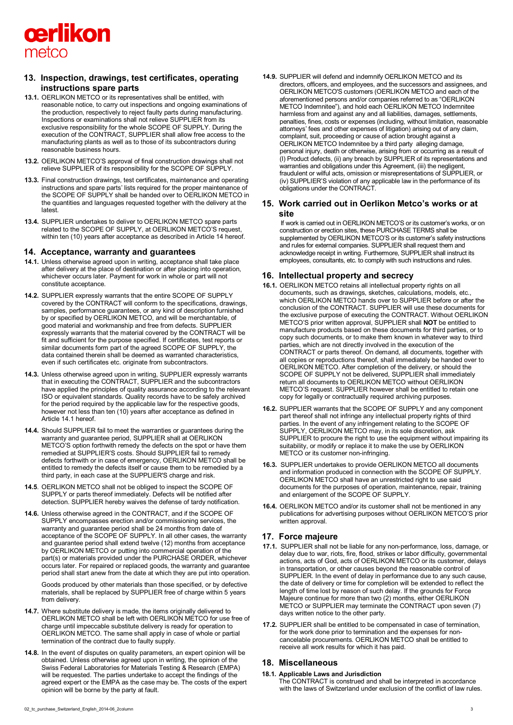

## **13. Inspection, drawings, test certificates, operating instructions spare parts**

- **13.1.** OERLIKON METCO or its representatives shall be entitled, with reasonable notice, to carry out inspections and ongoing examinations of the production, respectively to reject faulty parts during manufacturing. Inspections or examinations shall not relieve SUPPLIER from its exclusive responsibility for the whole SCOPE OF SUPPLY. During the execution of the CONTRACT, SUPPLIER shall allow free access to the manufacturing plants as well as to those of its subcontractors during reasonable business hours.
- **13.2.** OERLIKON METCO'S approval of final construction drawings shall not relieve SUPPLIER of its responsibility for the SCOPE OF SUPPLY.
- **13.3.** Final construction drawings, test certificates, maintenance and operating instructions and spare parts' lists required for the proper maintenance of the SCOPE OF SUPPLY shall be handed over to OERLIKON METCO in the quantities and languages requested together with the delivery at the latest.
- **13.4.** SUPPLIER undertakes to deliver to OERLIKON METCO spare parts related to the SCOPE OF SUPPLY, at OERLIKON METCO'S request, within ten (10) years after acceptance as described in Article 14 hereof.

### **14. Acceptance, warranty and guarantees**

- **14.1.** Unless otherwise agreed upon in writing, acceptance shall take place after delivery at the place of destination or after placing into operation, whichever occurs later. Payment for work in whole or part will not constitute acceptance.
- **14.2.** SUPPLIER expressly warrants that the entire SCOPE OF SUPPLY covered by the CONTRACT will conform to the specifications, drawings, samples, performance guarantees, or any kind of description furnished by or specified by OERLIKON METCO, and will be merchantable, of good material and workmanship and free from defects. SUPPLIER expressly warrants that the material covered by the CONTRACT will be fit and sufficient for the purpose specified. If certificates, test reports or similar documents form part of the agreed SCOPE OF SUPPLY, the data contained therein shall be deemed as warranted characteristics, even if such certificates etc. originate from subcontractors.
- **14.3.** Unless otherwise agreed upon in writing, SUPPLIER expressly warrants that in executing the CONTRACT, SUPPLIER and the subcontractors have applied the principles of quality assurance according to the relevant ISO or equivalent standards. Quality records have to be safely archived for the period required by the applicable law for the respective goods, however not less than ten (10) years after acceptance as defined in Article 14.1 hereof.
- **14.4.** Should SUPPLIER fail to meet the warranties or guarantees during the warranty and guarantee period, SUPPLIER shall at OERLIKON METCO'S option forthwith remedy the defects on the spot or have them remedied at SUPPLIER'S costs. Should SUPPLIER fail to remedy defects forthwith or in case of emergency, OERLIKON METCO shall be entitled to remedy the defects itself or cause them to be remedied by a third party, in each case at the SUPPLIER'S charge and risk.
- **14.5**. OERLIKON METCO shall not be obliged to inspect the SCOPE OF SUPPLY or parts thereof immediately. Defects will be notified after detection. SUPPLIER hereby waives the defense of tardy notification.
- **14.6.** Unless otherwise agreed in the CONTRACT, and if the SCOPE OF SUPPLY encompasses erection and/or commissioning services, the warranty and guarantee period shall be 24 months from date of acceptance of the SCOPE OF SUPPLY. In all other cases, the warranty and guarantee period shall extend twelve (12) months from acceptance by OERLIKON METCO or putting into commercial operation of the part(s) or materials provided under the PURCHASE ORDER, whichever occurs later. For repaired or replaced goods, the warranty and guarantee period shall start anew from the date at which they are put into operation.

Goods produced by other materials than those specified, or by defective materials, shall be replaced by SUPPLIER free of charge within 5 years from delivery.

- **14.7.** Where substitute delivery is made, the items originally delivered to OERLIKON METCO shall be left with OERLIKON METCO for use free of charge until impeccable substitute delivery is ready for operation to OERLIKON METCO. The same shall apply in case of whole or partial termination of the contract due to faulty supply.
- **14.8.** In the event of disputes on quality parameters, an expert opinion will be obtained. Unless otherwise agreed upon in writing, the opinion of the Swiss Federal Laboratories for Materials Testing & Research (EMPA) will be requested. The parties undertake to accept the findings of the agreed expert or the EMPA as the case may be. The costs of the expert opinion will be borne by the party at fault.

**14.9.** SUPPLIER will defend and indemnify OERLIKON METCO and its directors, officers, and employees, and the successors and assignees, and OERLIKON METCO'S customers (OERLIKON METCO and each of the aforementioned persons and/or companies referred to as "OERLIKON METCO Indemnitee"), and hold each OERLIKON METCO Indemnitee harmless from and against any and all liabilities, damages, settlements, penalties, fines, costs or expenses (including, without limitation, reasonable attorneys' fees and other expenses of litigation) arising out of any claim, complaint, suit, proceeding or cause of action brought against a OERLIKON METCO Indemnitee by a third party alleging damage, personal injury, death or otherwise, arising from or occurring as a result of (I) Product defects, (ii) any breach by SUPPLIER of its representations and warranties and obligations under this Agreement, (iii) the negligent, fraudulent or wilful acts, omission or misrepresentations of SUPPLIER, or (iv) SUPPLIER'S violation of any applicable law in the performance of its obligations under the CONTRACT.

## **15. Work carried out in Oerlikon Metco's works or at site**

If work is carried out in OERLIKON METCO'S or its customer's works, or on construction or erection sites, these PURCHASE TERMS shall be supplemented by OERLIKON METCO'S or its customer's safety instructions and rules for external companies. SUPPLIER shall request them and acknowledge receipt in writing. Furthermore, SUPPLIER shall instruct its employees, consultants, etc. to comply with such instructions and rules.

# **16. Intellectual property and secrecy**

- **16.1.** OERLIKON METCO retains all intellectual property rights on all documents, such as drawings, sketches, calculations, models, etc., which OERLIKON METCO hands over to SUPPLIER before or after the conclusion of the CONTRACT. SUPPLIER will use these documents for the exclusive purpose of executing the CONTRACT. Without OERLIKON METCO'S prior written approval, SUPPLIER shall **NOT** be entitled to manufacture products based on these documents for third parties, or to copy such documents, or to make them known in whatever way to third parties, which are not directly involved in the execution of the CONTRACT or parts thereof. On demand, all documents, together with all copies or reproductions thereof, shall immediately be handed over to OERLIKON METCO. After completion of the delivery, or should the SCOPE OF SUPPLY not be delivered, SUPPLIER shall immediately return all documents to OERLIKON METCO without OERLIKON METCO'S request. SUPPLIER however shall be entitled to retain one copy for legally or contractually required archiving purposes.
- **16.2.** SUPPLIER warrants that the SCOPE OF SUPPLY and any component part thereof shall not infringe any intellectual property rights of third parties. In the event of any infringement relating to the SCOPE OF SUPPLY, OERLIKON METCO may, in its sole discretion, ask SUPPLIER to procure the right to use the equipment without impairing its suitability, or modify or replace it to make the use by OERLIKON METCO or its customer non-infringing.
- **16.3.** SUPPLIER undertakes to provide OERLIKON METCO all documents and information produced in connection with the SCOPE OF SUPPLY. OERLIKON METCO shall have an unrestricted right to use said documents for the purposes of operation, maintenance, repair, training and enlargement of the SCOPE OF SUPPLY.
- **16.4.** OERLIKON METCO and/or its customer shall not be mentioned in any publications for advertising purposes without OERLIKON METCO'S prior written approval.

## **17. Force majeure**

- **17.1.** SUPPLIER shall not be liable for any non-performance, loss, damage, or delay due to war, riots, fire, flood, strikes or labor difficulty, governmental actions, acts of God, acts of OERLIKON METCO or its customer, delays in transportation, or other causes beyond the reasonable control of SUPPLIER. In the event of delay in performance due to any such cause, the date of delivery or time for completion will be extended to reflect the length of time lost by reason of such delay. If the grounds for Force Majeure continue for more than two (2) months, either OERLIKON METCO or SUPPLIER may terminate the CONTRACT upon seven (7) days written notice to the other party.
- **17.2.** SUPPLIER shall be entitled to be compensated in case of termination, for the work done prior to termination and the expenses for noncancelable procurements. OERLIKON METCO shall be entitled to receive all work results for which it has paid.

### **18. Miscellaneous**

### **18.1. Applicable Laws and Jurisdiction**

The CONTRACT is construed and shall be interpreted in accordance with the laws of Switzerland under exclusion of the conflict of law rules.